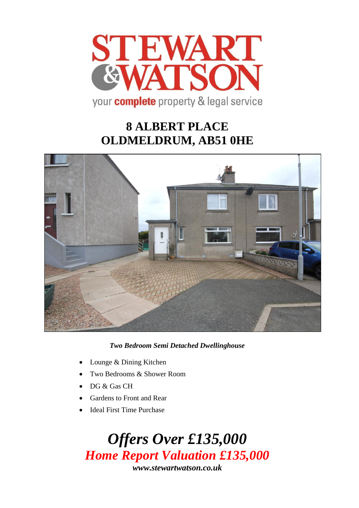

# **8 ALBERT PLACE OLDMELDRUM, AB51 0HE**



*Two Bedroom Semi Detached Dwellinghouse* 

- Lounge & Dining Kitchen
- Two Bedrooms & Shower Room
- DG & Gas CH
- Gardens to Front and Rear
- **Ideal First Time Purchase**

*Offers Over £135,000 Home Report Valuation £135,000 www.stewartwatson.co.uk*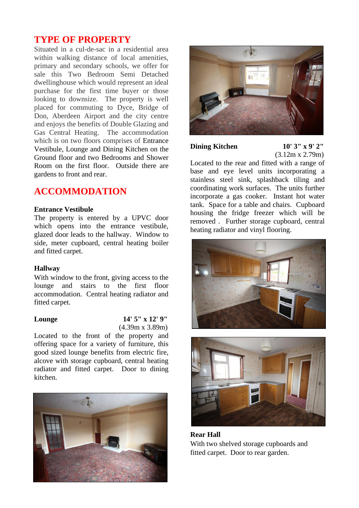## **TYPE OF PROPERTY**

Situated in a cul-de-sac in a residential area within walking distance of local amenities, primary and secondary schools, we offer for sale this Two Bedroom Semi Detached dwellinghouse which would represent an ideal purchase for the first time buyer or those looking to downsize. The property is well placed for commuting to Dyce, Bridge of Don, Aberdeen Airport and the city centre and enjoys the benefits of Double Glazing and Gas Central Heating. The accommodation which is on two floors comprises of Entrance Vestibule, Lounge and Dining Kitchen on the Ground floor and two Bedrooms and Shower Room on the first floor. Outside there are gardens to front and rear.

## **ACCOMMODATION**

### **Entrance Vestibule**

The property is entered by a UPVC door which opens into the entrance vestibule, glazed door leads to the hallway. Window to side, meter cupboard, central heating boiler and fitted carpet.

### **Hallway**

With window to the front, giving access to the lounge and stairs to the first floor accommodation. Central heating radiator and fitted carpet.

### **Lounge 14' 5" x 12' 9"** (4.39m x 3.89m)

Located to the front of the property and offering space for a variety of furniture, this good sized lounge benefits from electric fire, alcove with storage cupboard, central heating radiator and fitted carpet. Door to dining kitchen.





## **Dining Kitchen 10' 3" x 9' 2"**

(3.12m x 2.79m)

Located to the rear and fitted with a range of base and eye level units incorporating a stainless steel sink, splashback tiling and coordinating work surfaces. The units further incorporate a gas cooker. Instant hot water tank. Space for a table and chairs. Cupboard housing the fridge freezer which will be removed . Further storage cupboard, central heating radiator and vinyl flooring.





**Rear Hall**  With two shelved storage cupboards and fitted carpet. Door to rear garden.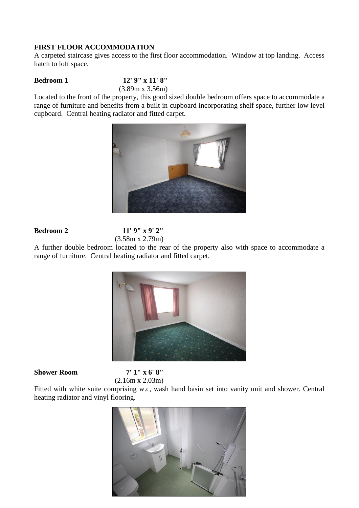### **FIRST FLOOR ACCOMMODATION**

A carpeted staircase gives access to the first floor accommodation. Window at top landing. Access hatch to loft space.

**Bedroom 1 12' 9" x 11' 8"**

(3.89m x 3.56m)

Located to the front of the property, this good sized double bedroom offers space to accommodate a range of furniture and benefits from a built in cupboard incorporating shelf space, further low level cupboard. Central heating radiator and fitted carpet.



## **Bedroom 2 11' 9" x 9' 2"** (3.58m x 2.79m)

A further double bedroom located to the rear of the property also with space to accommodate a range of furniture. Central heating radiator and fitted carpet.



### **Shower Room 7' 1" x 6' 8"**

(2.16m x 2.03m)

Fitted with white suite comprising w.c, wash hand basin set into vanity unit and shower. Central heating radiator and vinyl flooring.